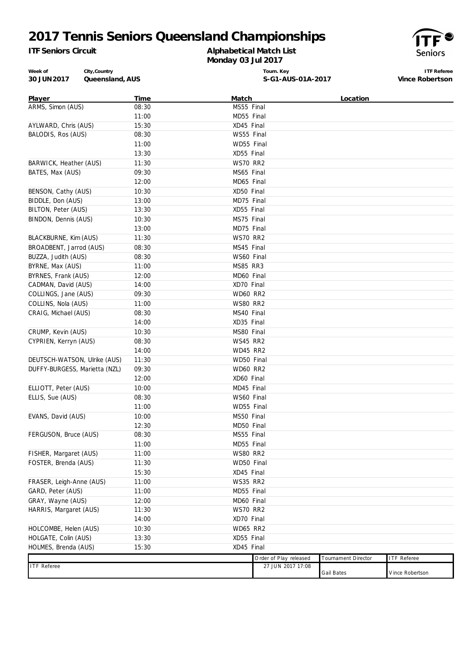# **2017 Tennis Seniors Queensland Championships**

*ITF Seniors Circuit*

#### **Alphabetical Match List Monday 03 Jul 2017**



**Week of 30 JUN2017 Queensland, AUS City,Country**

**Tourn. Key S-G1-AUS-01A-2017**

**ITF Referee Vince Robertson**

| Player                                      | Time  | Match           |                                             | Location            |                    |
|---------------------------------------------|-------|-----------------|---------------------------------------------|---------------------|--------------------|
| ARMS, Simon (AUS)                           | 08:30 | MS55 Final      |                                             |                     |                    |
|                                             | 11:00 | MD55 Final      |                                             |                     |                    |
| AYLWARD, Chris (AUS)                        | 15:30 | XD45 Final      |                                             |                     |                    |
| BALODIS, Ros (AUS)                          | 08:30 | WS55 Final      |                                             |                     |                    |
|                                             | 11:00 | WD55 Final      |                                             |                     |                    |
|                                             | 13:30 | XD55 Final      |                                             |                     |                    |
| BARWICK, Heather (AUS)                      | 11:30 | <b>WS70 RR2</b> |                                             |                     |                    |
| BATES, Max (AUS)                            | 09:30 | MS65 Final      |                                             |                     |                    |
|                                             | 12:00 | MD65 Final      |                                             |                     |                    |
| BENSON, Cathy (AUS)                         | 10:30 | XD50 Final      |                                             |                     |                    |
| BIDDLE, Don (AUS)                           | 13:00 | MD75 Final      |                                             |                     |                    |
| BILTON, Peter (AUS)                         | 13:30 | XD55 Final      |                                             |                     |                    |
| BINDON, Dennis (AUS)                        | 10:30 | MS75 Final      |                                             |                     |                    |
|                                             | 13:00 | MD75 Final      |                                             |                     |                    |
| BLACKBURNE, Kim (AUS)                       | 11:30 | <b>WS70 RR2</b> |                                             |                     |                    |
| BROADBENT, Jarrod (AUS)                     | 08:30 | MS45 Final      |                                             |                     |                    |
| BUZZA, Judith (AUS)                         | 08:30 | WS60 Final      |                                             |                     |                    |
| BYRNE, Max (AUS)                            | 11:00 | MS85 RR3        |                                             |                     |                    |
| BYRNES, Frank (AUS)                         | 12:00 | MD60 Final      |                                             |                     |                    |
| CADMAN, David (AUS)<br>COLLINGS, Jane (AUS) | 14:00 | XD70 Final      |                                             |                     |                    |
|                                             | 09:30 | <b>WD60 RR2</b> |                                             |                     |                    |
| COLLINS, Nola (AUS)                         | 11:00 | <b>WS80 RR2</b> |                                             |                     |                    |
| CRAIG, Michael (AUS)                        | 08:30 | MS40 Final      |                                             |                     |                    |
|                                             | 14:00 | XD35 Final      |                                             |                     |                    |
| CRUMP, Kevin (AUS)                          | 10:30 | MS80 Final      |                                             |                     |                    |
| CYPRIEN, Kerryn (AUS)                       | 08:30 | WS45 RR2        |                                             |                     |                    |
|                                             | 14:00 | <b>WD45 RR2</b> |                                             |                     |                    |
| DEUTSCH-WATSON, Ulrike (AUS)                | 11:30 | WD50 Final      |                                             |                     |                    |
| DUFFY-BURGESS, Marietta (NZL)               | 09:30 | <b>WD60 RR2</b> |                                             |                     |                    |
|                                             | 12:00 | XD60 Final      |                                             |                     |                    |
| ELLIOTT, Peter (AUS)                        | 10:00 | MD45 Final      |                                             |                     |                    |
| ELLIS, Sue (AUS)                            | 08:30 | WS60 Final      |                                             |                     |                    |
|                                             | 11:00 | WD55 Final      |                                             |                     |                    |
| EVANS, David (AUS)                          | 10:00 | MS50 Final      |                                             |                     |                    |
|                                             | 12:30 | MD50 Final      |                                             |                     |                    |
| FERGUSON, Bruce (AUS)                       | 08:30 | MS55 Final      |                                             |                     |                    |
|                                             | 11:00 | MD55 Final      |                                             |                     |                    |
| FISHER, Margaret (AUS)                      | 11:00 | <b>WS80 RR2</b> |                                             |                     |                    |
| FOSTER, Brenda (AUS)                        | 11:30 | WD50 Final      |                                             |                     |                    |
|                                             | 15:30 | XD45 Final      |                                             |                     |                    |
| FRASER, Leigh-Anne (AUS)                    | 11:00 | <b>WS35 RR2</b> |                                             |                     |                    |
| GARD, Peter (AUS)                           | 11:00 | MD55 Final      |                                             |                     |                    |
| GRAY, Wayne (AUS)                           | 12:00 | MD60 Final      |                                             |                     |                    |
| HARRIS, Margaret (AUS)                      | 11:30 | <b>WS70 RR2</b> |                                             |                     |                    |
|                                             | 14:00 | XD70 Final      |                                             |                     |                    |
| HOLCOMBE, Helen (AUS)                       | 10:30 | <b>WD65 RR2</b> |                                             |                     |                    |
| HOLGATE, Colin (AUS)                        | 13:30 | XD55 Final      |                                             |                     |                    |
| HOLMES, Brenda (AUS)                        | 15:30 | XD45 Final      |                                             |                     |                    |
| <b>ITF</b> Referee                          |       |                 | Order of Play released<br>27 JUN 2017 17:08 | Tournament Director | <b>ITF</b> Referee |
|                                             |       |                 |                                             | Gail Bates          | Vince Robertson    |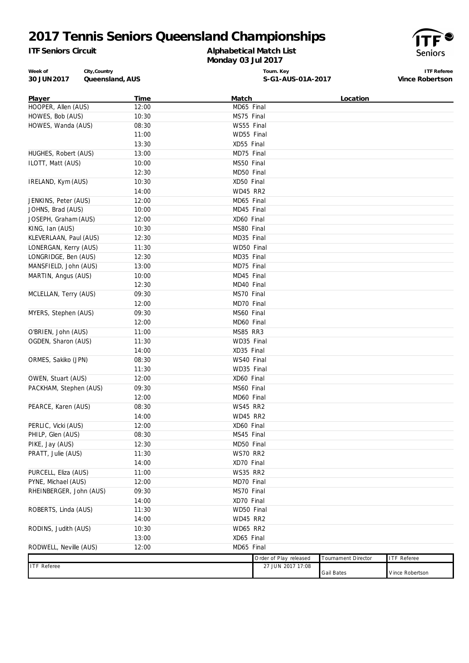# **2017 Tennis Seniors Queensland Championships**

*ITF Seniors Circuit*

### **Alphabetical Match List Monday 03 Jul 2017**



**Week of 30 JUN2017 Queensland, AUS City,Country**

**Tourn. Key S-G1-AUS-01A-2017**

**ITF Referee Vince Robertson**

| Player                  | <b>Time</b> | <b>Match</b>            |                        | Location                   |                    |
|-------------------------|-------------|-------------------------|------------------------|----------------------------|--------------------|
| HOOPER, Allen (AUS)     | 12:00       | MD65 Final              |                        |                            |                    |
| HOWES, Bob (AUS)        | 10:30       | MS75 Final              |                        |                            |                    |
| HOWES, Wanda (AUS)      | 08:30       | WS55 Final              |                        |                            |                    |
|                         | 11:00       | WD55 Final              |                        |                            |                    |
|                         | 13:30       | XD55 Final              |                        |                            |                    |
| HUGHES, Robert (AUS)    | 13:00       | MD75 Final              |                        |                            |                    |
| ILOTT, Matt (AUS)       | 10:00       | MS50 Final              |                        |                            |                    |
|                         | 12:30       | MD50 Final              |                        |                            |                    |
| IRELAND, Kym (AUS)      | 10:30       | XD50 Final              |                        |                            |                    |
|                         | 14:00       | <b>WD45 RR2</b>         |                        |                            |                    |
| JENKINS, Peter (AUS)    | 12:00       | MD65 Final              |                        |                            |                    |
| JOHNS, Brad (AUS)       | 10:00       | MD45 Final              |                        |                            |                    |
| JOSEPH, Graham (AUS)    | 12:00       | XD60 Final              |                        |                            |                    |
| KING, Ian (AUS)         | 10:30       | MS80 Final              |                        |                            |                    |
| KLEVERLAAN, Paul (AUS)  | 12:30       | MD35 Final              |                        |                            |                    |
| LONERGAN, Kerry (AUS)   | 11:30       | WD50 Final              |                        |                            |                    |
| LONGRIDGE, Ben (AUS)    | 12:30       | MD35 Final              |                        |                            |                    |
| MANSFIELD, John (AUS)   | 13:00       | $\overline{MD75}$ Final |                        |                            |                    |
| MARTIN, Angus (AUS)     | 10:00       | MD45 Final              |                        |                            |                    |
|                         | 12:30       | MD40 Final              |                        |                            |                    |
| MCLELLAN, Terry (AUS)   | 09:30       | MS70 Final              |                        |                            |                    |
|                         | 12:00       | MD70 Final              |                        |                            |                    |
| MYERS, Stephen (AUS)    | 09:30       | MS60 Final              |                        |                            |                    |
|                         | 12:00       | MD60 Final              |                        |                            |                    |
| O'BRIEN, John (AUS)     | 11:00       | <b>MS85 RR3</b>         |                        |                            |                    |
| OGDEN, Sharon (AUS)     | 11:30       | WD35 Final              |                        |                            |                    |
|                         | 14:00       | XD35 Final              |                        |                            |                    |
| ORMES, Sakiko (JPN)     | 08:30       | WS40 Final              |                        |                            |                    |
|                         | 11:30       | WD35 Final              |                        |                            |                    |
| OWEN, Stuart (AUS)      | 12:00       | XD60 Final              |                        |                            |                    |
| PACKHAM, Stephen (AUS)  | 09:30       | MS60 Final              |                        |                            |                    |
|                         | 12:00       | MD60 Final              |                        |                            |                    |
| PEARCE, Karen (AUS)     | 08:30       | WS45 RR2                |                        |                            |                    |
|                         | 14:00       | WD45 RR2                |                        |                            |                    |
| PERLIC, Vicki (AUS)     | 12:00       | XD60 Final              |                        |                            |                    |
| PHILP, Glen (AUS)       | 08:30       | MS45 Final              |                        |                            |                    |
| PIKE, Jay (AUS)         | 12:30       | MD50 Final              |                        |                            |                    |
| PRATT, Julie (AUS)      | 11:30       | <b>WS70 RR2</b>         |                        |                            |                    |
|                         | 14:00       | XD70 Final              |                        |                            |                    |
| PURCELL, Eliza (AUS)    | 11:00       | <b>WS35 RR2</b>         |                        |                            |                    |
| PYNE, Michael (AUS)     | 12:00       | MD70 Final              |                        |                            |                    |
| RHEINBERGER, John (AUS) | 09:30       | MS70 Final              |                        |                            |                    |
|                         | 14:00       | XD70 Final              |                        |                            |                    |
| ROBERTS, Linda (AUS)    | 11:30       | WD50 Final              |                        |                            |                    |
|                         | 14:00       | WD45 RR2                |                        |                            |                    |
| RODINS, Judith (AUS)    | 10:30       | <b>WD65 RR2</b>         |                        |                            |                    |
|                         | 13:00       | XD65 Final              |                        |                            |                    |
| RODWELL, Neville (AUS)  | 12:00       | MD65 Final              |                        |                            |                    |
|                         |             |                         | Order of Play released | <b>Tournament Director</b> | <b>ITF Referee</b> |
| <b>ITF Referee</b>      |             |                         | 27 JUN 2017 17:08      |                            |                    |
|                         |             |                         |                        | <b>Gail Bates</b>          | Vince Robertson    |